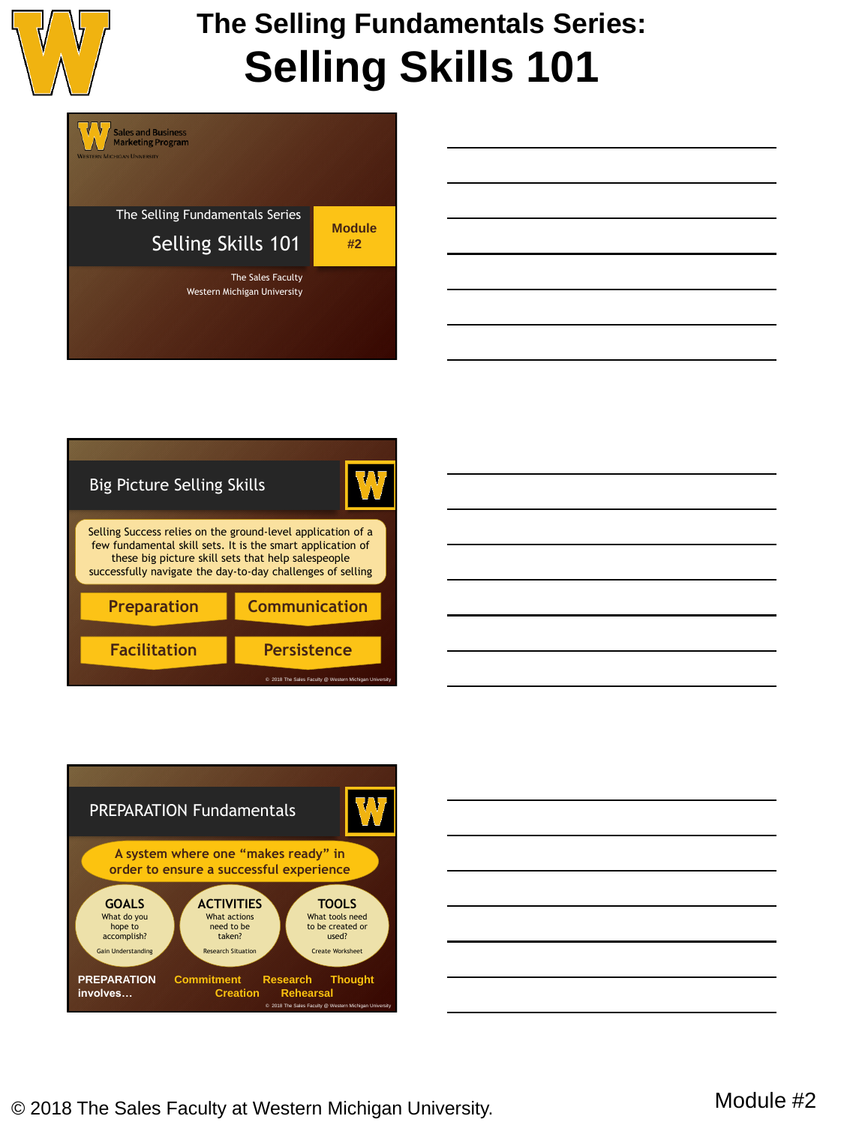

# **The Selling Fundamentals Series: Selling Skills 101**









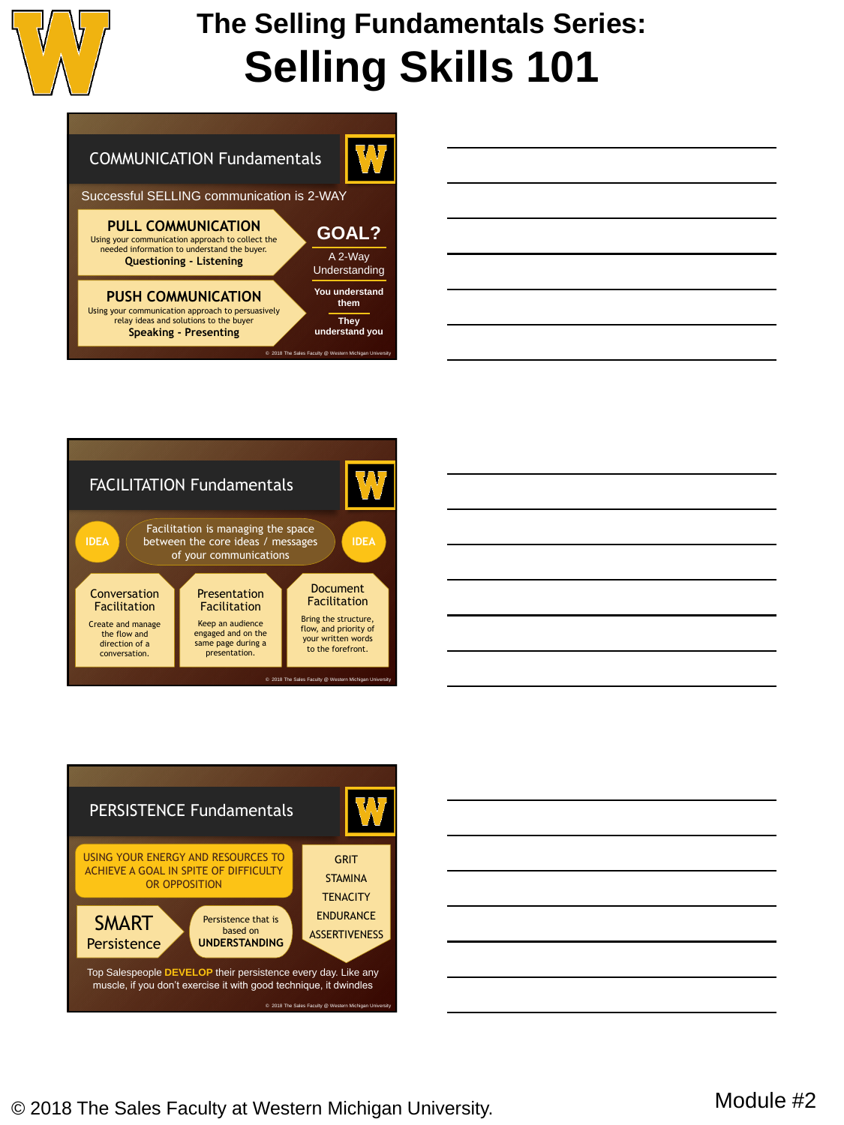

## **The Selling Fundamentals Series: Selling Skills 101**

### COMMUNICATION Fundamentals

Successful SELLING communication is 2-WAY

#### **PULL COMMUNICATION**

Using your communication approach to collect the needed information to understand the buyer. **Questioning - Listening**

### **PUSH COMMUNICATION**

Using your communication approach to persuasively relay ideas and solutions to the buyer **Speaking - Presenting**

| A 2-Way                |
|------------------------|
| Understanding          |
| You understand<br>them |
| <b>They</b>            |
| understand you         |

© 2018 The Sales Faculty @ Western Michigan University

**GOAL?**

 $\Lambda$